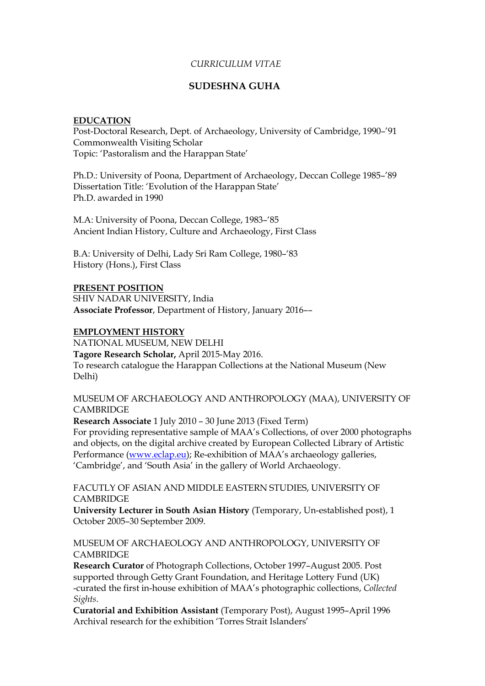## *CURRICULUM VITAE*

# **SUDESHNA GUHA**

#### **EDUCATION**

Post-Doctoral Research, Dept. of Archaeology, University of Cambridge, 1990–'91 Commonwealth Visiting Scholar Topic: 'Pastoralism and the Harappan State'

Ph.D.: University of Poona, Department of Archaeology, Deccan College 1985–'89 Dissertation Title: 'Evolution of the Harappan State' Ph.D. awarded in 1990

M.A: University of Poona, Deccan College, 1983–'85 Ancient Indian History, Culture and Archaeology, First Class

B.A: University of Delhi, Lady Sri Ram College, 1980–'83 History (Hons.), First Class

### **PRESENT POSITION**

SHIV NADAR UNIVERSITY, India **Associate Professor**, Department of History, January 2016––

# **EMPLOYMENT HISTORY**

NATIONAL MUSEUM, NEW DELHI

**Tagore Research Scholar,** April 2015-May 2016. To research catalogue the Harappan Collections at the National Museum (New Delhi)

MUSEUM OF ARCHAEOLOGY AND ANTHROPOLOGY (MAA), UNIVERSITY OF **CAMBRIDGE** 

**Research Associate** 1 July 2010 – 30 June 2013 (Fixed Term)

For providing representative sample of MAA's Collections, of over 2000 photographs and objects, on the digital archive created by European Collected Library of Artistic Performance [\(www.eclap.eu\)](http://www.eclap.eu/); Re-exhibition of MAA's archaeology galleries, 'Cambridge', and 'South Asia' in the gallery of World Archaeology.

FACUTLY OF ASIAN AND MIDDLE EASTERN STUDIES, UNIVERSITY OF **CAMBRIDGE** 

**University Lecturer in South Asian History** (Temporary, Un-established post), 1 October 2005–30 September 2009.

MUSEUM OF ARCHAEOLOGY AND ANTHROPOLOGY, UNIVERSITY OF **CAMBRIDGE** 

**Research Curator** of Photograph Collections, October 1997–August 2005. Post supported through Getty Grant Foundation, and Heritage Lottery Fund (UK) -curated the first in-house exhibition of MAA's photographic collections, *Collected Sights*.

**Curatorial and Exhibition Assistant** (Temporary Post), August 1995–April 1996 Archival research for the exhibition 'Torres Strait Islanders'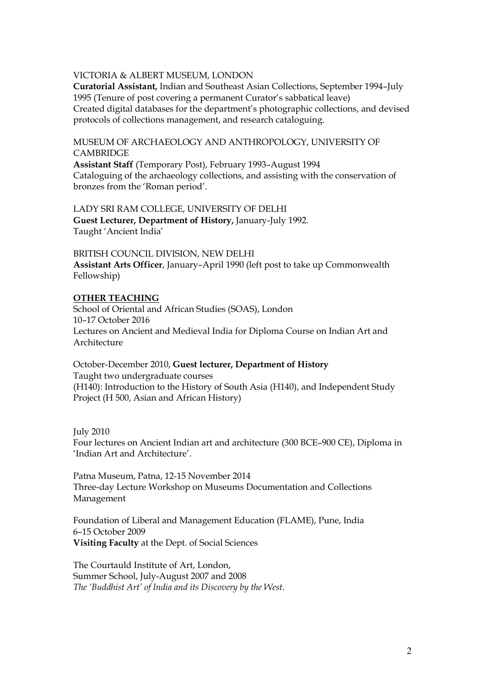## VICTORIA & ALBERT MUSEUM, LONDON

**Curatorial Assistant,** Indian and Southeast Asian Collections, September 1994–July 1995 (Tenure of post covering a permanent Curator's sabbatical leave) Created digital databases for the department's photographic collections, and devised protocols of collections management, and research cataloguing.

MUSEUM OF ARCHAEOLOGY AND ANTHROPOLOGY, UNIVERSITY OF **CAMBRIDGE** 

**Assistant Staff** (Temporary Post), February 1993–August 1994 Cataloguing of the archaeology collections, and assisting with the conservation of bronzes from the 'Roman period'.

LADY SRI RAM COLLEGE, UNIVERSITY OF DELHI **Guest Lecturer, Department of History,** January-July 1992. Taught 'Ancient India'

BRITISH COUNCIL DIVISION, NEW DELHI **Assistant Arts Officer**, January–April 1990 (left post to take up Commonwealth Fellowship)

### **OTHER TEACHING**

School of Oriental and African Studies (SOAS), London 10–17 October 2016 Lectures on Ancient and Medieval India for Diploma Course on Indian Art and Architecture

October-December 2010, **Guest lecturer, Department of History** Taught two undergraduate courses (H140): Introduction to the History of South Asia (H140), and Independent Study Project (H 500, Asian and African History)

July 2010

Four lectures on Ancient Indian art and architecture (300 BCE–900 CE), Diploma in 'Indian Art and Architecture'.

Patna Museum, Patna, 12-15 November 2014 Three-day Lecture Workshop on Museums Documentation and Collections Management

Foundation of Liberal and Management Education (FLAME), Pune, India 6–15 October 2009 **Visiting Faculty** at the Dept. of Social Sciences

The Courtauld Institute of Art, London, Summer School, July-August 2007 and 2008 *The 'Buddhist Art' of India and its Discovery by the West*.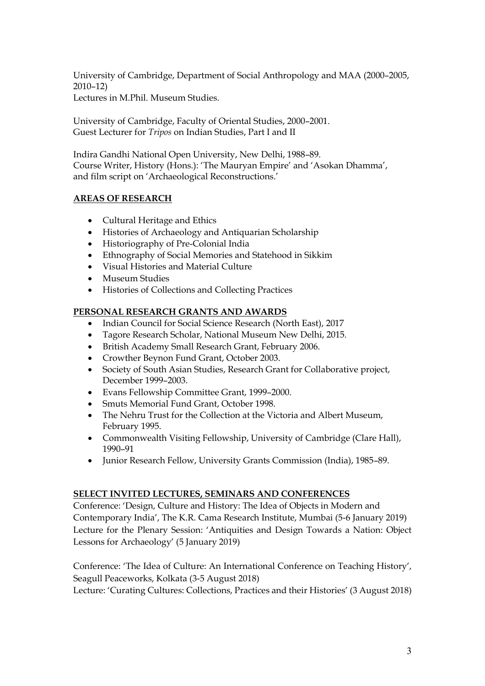University of Cambridge, Department of Social Anthropology and MAA (2000–2005, 2010–12) Lectures in M.Phil. Museum Studies.

University of Cambridge, Faculty of Oriental Studies, 2000–2001. Guest Lecturer for *Tripos* on Indian Studies, Part I and II

Indira Gandhi National Open University, New Delhi, 1988–89. Course Writer, History (Hons.): 'The Mauryan Empire' and 'Asokan Dhamma', and film script on 'Archaeological Reconstructions.'

# **AREAS OF RESEARCH**

- Cultural Heritage and Ethics
- Histories of Archaeology and Antiquarian Scholarship
- Historiography of Pre-Colonial India
- Ethnography of Social Memories and Statehood in Sikkim
- Visual Histories and Material Culture
- Museum Studies
- Histories of Collections and Collecting Practices

# **PERSONAL RESEARCH GRANTS AND AWARDS**

- Indian Council for Social Science Research (North East), 2017
- Tagore Research Scholar, National Museum New Delhi, 2015.
- British Academy Small Research Grant, February 2006.
- Crowther Beynon Fund Grant, October 2003.
- Society of South Asian Studies, Research Grant for Collaborative project, December 1999–2003.
- Evans Fellowship Committee Grant, 1999–2000.
- Smuts Memorial Fund Grant, October 1998.
- The Nehru Trust for the Collection at the Victoria and Albert Museum, February 1995.
- Commonwealth Visiting Fellowship, University of Cambridge (Clare Hall), 1990–91
- Junior Research Fellow, University Grants Commission (India), 1985–89.

# **SELECT INVITED LECTURES, SEMINARS AND CONFERENCES**

Conference: 'Design, Culture and History: The Idea of Objects in Modern and Contemporary India', The K.R. Cama Research Institute, Mumbai (5-6 January 2019) Lecture for the Plenary Session: 'Antiquities and Design Towards a Nation: Object Lessons for Archaeology' (5 January 2019)

Conference: 'The Idea of Culture: An International Conference on Teaching History', Seagull Peaceworks, Kolkata (3-5 August 2018)

Lecture: 'Curating Cultures: Collections, Practices and their Histories' (3 August 2018)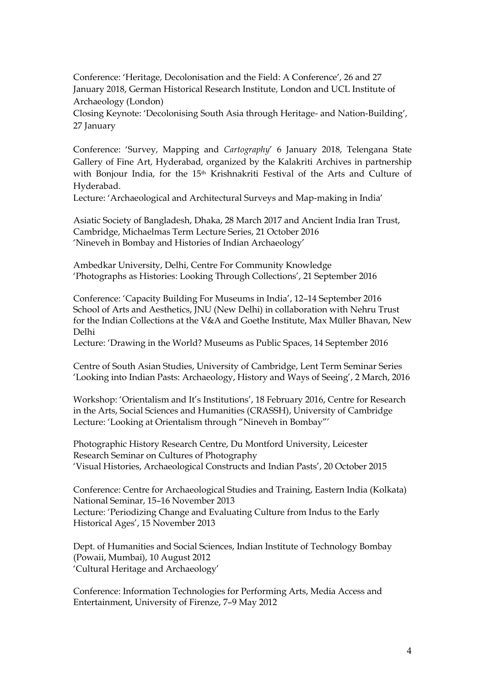Conference: 'Heritage, Decolonisation and the Field: A Conference', 26 and 27 January 2018, German Historical Research Institute, London and UCL Institute of Archaeology (London)

Closing Keynote: 'Decolonising South Asia through Heritage- and Nation-Building', 27 January

Conference: 'Survey, Mapping and *Cartography*' 6 January 2018, Telengana State Gallery of Fine Art, Hyderabad, organized by the Kalakriti Archives in partnership with Bonjour India, for the 15<sup>th</sup> Krishnakriti Festival of the Arts and Culture of Hyderabad.

Lecture: 'Archaeological and Architectural Surveys and Map-making in India'

Asiatic Society of Bangladesh, Dhaka, 28 March 2017 and Ancient India Iran Trust, Cambridge, Michaelmas Term Lecture Series, 21 October 2016 'Nineveh in Bombay and Histories of Indian Archaeology'

Ambedkar University, Delhi, Centre For Community Knowledge 'Photographs as Histories: Looking Through Collections', 21 September 2016

Conference: 'Capacity Building For Museums in India', 12–14 September 2016 School of Arts and Aesthetics, JNU (New Delhi) in collaboration with Nehru Trust for the Indian Collections at the V&A and Goethe Institute, Max Müller Bhavan, New Delhi

Lecture: 'Drawing in the World? Museums as Public Spaces, 14 September 2016

Centre of South Asian Studies, University of Cambridge, Lent Term Seminar Series 'Looking into Indian Pasts: Archaeology, History and Ways of Seeing', 2 March, 2016

Workshop: 'Orientalism and It's Institutions', 18 February 2016, Centre for Research in the Arts, Social Sciences and Humanities (CRASSH), University of Cambridge Lecture: 'Looking at Orientalism through "Nineveh in Bombay"'

Photographic History Research Centre, Du Montford University, Leicester Research Seminar on Cultures of Photography 'Visual Histories, Archaeological Constructs and Indian Pasts', 20 October 2015

Conference: Centre for Archaeological Studies and Training, Eastern India (Kolkata) National Seminar, 15–16 November 2013 Lecture: 'Periodizing Change and Evaluating Culture from Indus to the Early Historical Ages', 15 November 2013

Dept. of Humanities and Social Sciences, Indian Institute of Technology Bombay (Powaii, Mumbai), 10 August 2012 'Cultural Heritage and Archaeology'

Conference: Information Technologies for Performing Arts, Media Access and Entertainment, University of Firenze, 7–9 May 2012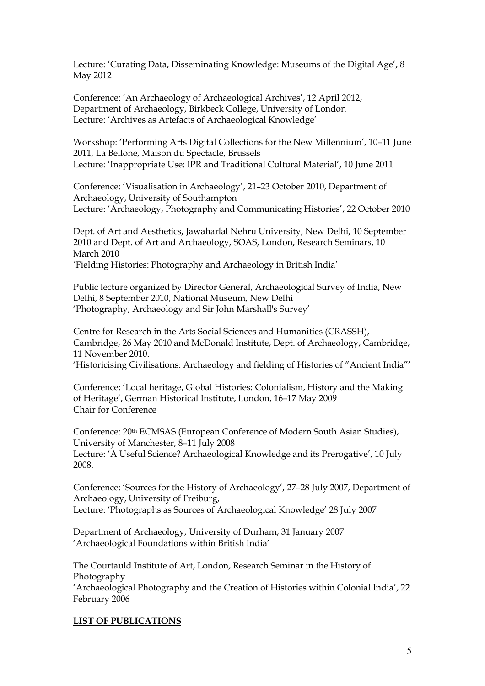Lecture: 'Curating Data, Disseminating Knowledge: Museums of the Digital Age', 8 May 2012

Conference: 'An Archaeology of Archaeological Archives', 12 April 2012, Department of Archaeology, Birkbeck College, University of London Lecture: 'Archives as Artefacts of Archaeological Knowledge'

Workshop: 'Performing Arts Digital Collections for the New Millennium', 10–11 June 2011, La Bellone, Maison du Spectacle, Brussels Lecture: 'Inappropriate Use: IPR and Traditional Cultural Material', 10 June 2011

Conference: 'Visualisation in Archaeology', 21–23 October 2010, Department of Archaeology, University of Southampton Lecture: 'Archaeology, Photography and Communicating Histories', 22 October 2010

Dept. of Art and Aesthetics, Jawaharlal Nehru University, New Delhi, 10 September 2010 and Dept. of Art and Archaeology, SOAS, London, Research Seminars, 10 March 2010 'Fielding Histories: Photography and Archaeology in British India'

Public lecture organized by Director General, Archaeological Survey of India, New Delhi, 8 September 2010, National Museum, New Delhi 'Photography, Archaeology and Sir John Marshall's Survey'

Centre for Research in the Arts Social Sciences and Humanities (CRASSH), Cambridge, 26 May 2010 and McDonald Institute, Dept. of Archaeology, Cambridge, 11 November 2010. 'Historicising Civilisations: Archaeology and fielding of Histories of "Ancient India"'

Conference: 'Local heritage, Global Histories: Colonialism, History and the Making of Heritage', German Historical Institute, London, 16–17 May 2009 Chair for Conference

Conference: 20th ECMSAS (European Conference of Modern South Asian Studies), University of Manchester, 8–11 July 2008 Lecture: 'A Useful Science? Archaeological Knowledge and its Prerogative', 10 July 2008.

Conference: 'Sources for the History of Archaeology', 27–28 July 2007, Department of Archaeology, University of Freiburg, Lecture: 'Photographs as Sources of Archaeological Knowledge' 28 July 2007

Department of Archaeology, University of Durham, 31 January 2007 'Archaeological Foundations within British India'

The Courtauld Institute of Art, London, Research Seminar in the History of Photography

'Archaeological Photography and the Creation of Histories within Colonial India', 22 February 2006

# **LIST OF PUBLICATIONS**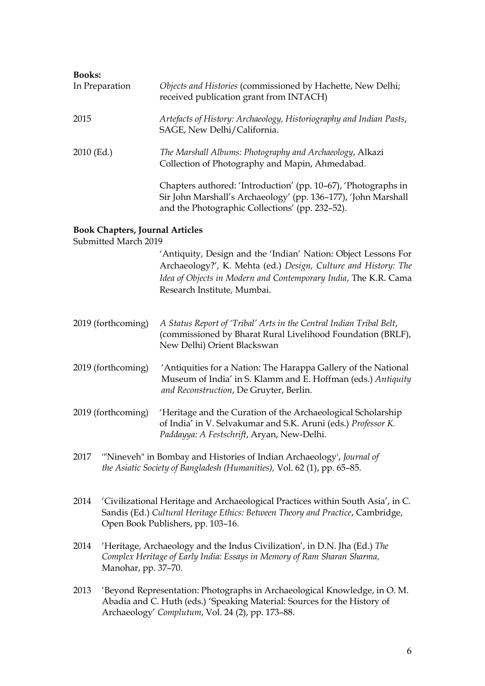| <b>Books:</b>  |                                                                                                                                                                                     |
|----------------|-------------------------------------------------------------------------------------------------------------------------------------------------------------------------------------|
| In Preparation | Objects and Histories (commissioned by Hachette, New Delhi;<br>received publication grant from INTACH)                                                                              |
| 2015           | Artefacts of History: Archaeology, Historiography and Indian Pasts,<br>SAGE, New Delhi/California.                                                                                  |
| $2010$ (Ed.)   | The Marshall Albums: Photography and Archaeology, Alkazi<br>Collection of Photography and Mapin, Ahmedabad.                                                                         |
|                | Chapters authored: 'Introduction' (pp. 10–67), 'Photographs in<br>Sir John Marshall's Archaeology' (pp. 136-177), 'John Marshall<br>and the Photographic Collections' (pp. 232–52). |
|                |                                                                                                                                                                                     |

# **Book Chapters, Journal Articles**

Submitted March 2019

'Antiquity, Design and the 'Indian' Nation: Object Lessons For Archaeology?', K. Mehta (ed.) *Design, Culture and History: The Idea of Objects in Modern and Contemporary India*, The K.R. Cama Research Institute, Mumbai.

- 2019 (forthcoming) *A Status Report of 'Tribal' Arts in the Central Indian Tribal Belt*, (commissioned by Bharat Rural Livelihood Foundation (BRLF), New Delhi) Orient Blackswan
- 2019 (forthcoming) 'Antiquities for a Nation: The Harappa Gallery of the National Museum of India' in S. Klamm and E. Hoffman (eds.) *Antiquity and Reconstruction*, De Gruyter, Berlin.
- 2019 (forthcoming) 'Heritage and the Curation of the Archaeological Scholarship of India' in V. Selvakumar and S.K. Aruni (eds.) *Professor K. Paddayya: A Festschrift*, Aryan, New-Delhi.
- 2017 '"Nineveh" in Bombay and Histories of Indian Archaeology', *Journal of the Asiatic Society of Bangladesh (Humanities),* Vol. 62 (1), pp. 65–85.
- 2014 'Civilizational Heritage and Archaeological Practices within South Asia', in C. Sandis (Ed.) *Cultural Heritage Ethics: Between Theory and Practice*, Cambridge, Open Book Publishers, pp. 103–16.
- 2014 'Heritage, Archaeology and the Indus Civilization', in D.N. Jha (Ed.) *The Complex Heritage of Early India: Essays in Memory of Ram Sharan Sharma,* Manohar, pp. 37–70.
- 2013 'Beyond Representation: Photographs in Archaeological Knowledge, in O. M. Abadia and C. Huth (eds.) 'Speaking Material: Sources for the History of Archaeology' *Complutum*, Vol. 24 (2), pp. 173–88.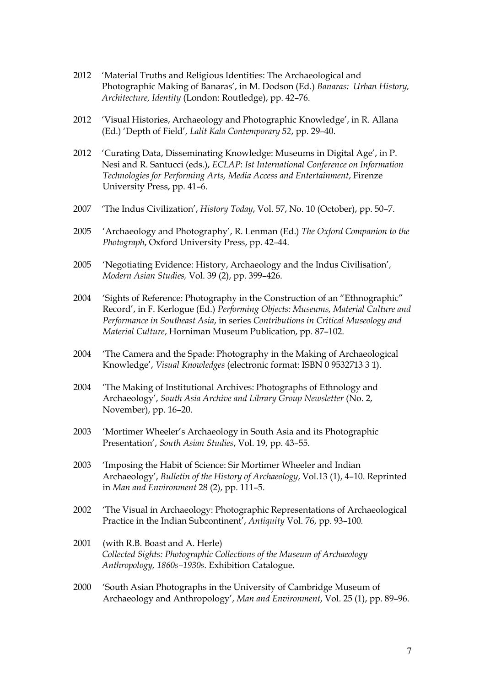- 2012 'Material Truths and Religious Identities: The Archaeological and Photographic Making of Banaras', in M. Dodson (Ed.) *Banaras: Urban History, Architecture, Identity* (London: Routledge), pp. 42–76.
- 2012 'Visual Histories, Archaeology and Photographic Knowledge', in R. Allana (Ed.) 'Depth of Field'*, Lalit Kala Contemporary 52*, pp. 29–40.
- 2012 'Curating Data, Disseminating Knowledge: Museums in Digital Age', in P. Nesi and R. Santucci (eds.), *ECLAP*: *Ist International Conference on Information Technologies for Performing Arts, Media Access and Entertainment*, Firenze University Press, pp. 41–6.
- 2007 'The Indus Civilization', *History Today*, Vol. 57, No. 10 (October), pp. 50–7.
- 2005 'Archaeology and Photography', R. Lenman (Ed.) *The Oxford Companion to the Photograph*, Oxford University Press, pp. 42–44*.*
- 2005 'Negotiating Evidence: History, Archaeology and the Indus Civilisation'*, Modern Asian Studies,* Vol. 39 (2), pp. 399–426.
- 2004 'Sights of Reference: Photography in the Construction of an "Ethnographic" Record', in F. Kerlogue (Ed.) *Performing Objects: Museums, Material Culture and Performance in Southeast Asia*, in series *Contributions in Critical Museology and Material Culture*, Horniman Museum Publication, pp. 87–102.
- 2004 'The Camera and the Spade: Photography in the Making of Archaeological Knowledge', *Visual Knowledges* (electronic format: ISBN 0 9532713 3 1).
- 2004 'The Making of Institutional Archives: Photographs of Ethnology and Archaeology', *South Asia Archive and Library Group Newsletter* (No. 2, November), pp. 16–20.
- 2003 'Mortimer Wheeler's Archaeology in South Asia and its Photographic Presentation', *South Asian Studies*, Vol. 19, pp. 43–55.
- 2003 'Imposing the Habit of Science: Sir Mortimer Wheeler and Indian Archaeology', *Bulletin of the History of Archaeology*, Vol.13 (1), 4–10. Reprinted in *Man and Environment* 28 (2), pp. 111–5.
- 2002 'The Visual in Archaeology: Photographic Representations of Archaeological Practice in the Indian Subcontinent', *Antiquity* Vol. 76, pp. 93–100*.*
- 2001 (with R.B. Boast and A. Herle) *Collected Sights: Photographic Collections of the Museum of Archaeology Anthropology, 1860s–1930s*. Exhibition Catalogue.
- 2000 'South Asian Photographs in the University of Cambridge Museum of Archaeology and Anthropology', *Man and Environment*, Vol. 25 (1), pp. 89–96.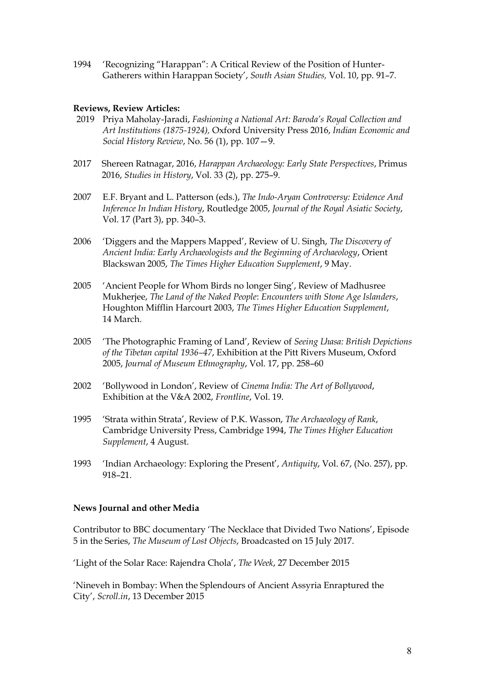1994 'Recognizing "Harappan": A Critical Review of the Position of Hunter-Gatherers within Harappan Society', *South Asian Studies,* Vol. 10, pp. 91–7.

## **Reviews, Review Articles:**

- 2019 Priya Maholay-Jaradi, *Fashioning a National Art: Baroda's Royal Collection and Art Institutions (1875-1924),* Oxford University Press 2016, *Indian Economic and Social History Review*, No. 56 (1), pp. 107—9.
- 2017 Shereen Ratnagar, 2016, *Harappan Archaeology: Early State Perspectives*, Primus 2016, *Studies in History*, Vol. 33 (2), pp. 275–9.
- 2007 E.F. Bryant and L. Patterson (eds.), *The Indo-Aryan Controversy: Evidence And Inference In Indian History*, Routledge 2005, *Journal of the Royal Asiatic Society*, Vol. 17 (Part 3), pp. 340–3.
- 2006 'Diggers and the Mappers Mapped', Review of U. Singh, *The Discovery of Ancient India: Early Archaeologists and the Beginning of Archaeology*, Orient Blackswan 2005, *The Times Higher Education Supplement*, 9 May.
- 2005 'Ancient People for Whom Birds no longer Sing', Review of Madhusree Mukherjee, *The Land of the Naked People*: *Encounters with Stone Age Islanders*, Houghton Mifflin Harcourt 2003, *The Times Higher Education Supplement*, 14 March.
- 2005 'The Photographic Framing of Land', Review of *Seeing Lhasa: British Depictions of the Tibetan capital 1936–47*, Exhibition at the Pitt Rivers Museum, Oxford 2005, *Journal of Museum Ethnography*, Vol. 17, pp. 258–60
- 2002 'Bollywood in London', Review of *Cinema India: The Art of Bollywood*, Exhibition at the V&A 2002, *Frontline*, Vol. 19.
- 1995 'Strata within Strata', Review of P.K. Wasson, *The Archaeology of Rank*, Cambridge University Press, Cambridge 1994, *The Times Higher Education Supplement*, 4 August.
- 1993 'Indian Archaeology: Exploring the Present', *Antiquity*, Vol. 67, (No. 257), pp. 918–21.

#### **News Journal and other Media**

Contributor to BBC documentary 'The Necklace that Divided Two Nations', Episode 5 in the Series, *The Museum of Lost Objects*, Broadcasted on 15 July 2017.

'Light of the Solar Race: Rajendra Chola', *The Week*, 27 December 2015

'Nineveh in Bombay: When the Splendours of Ancient Assyria Enraptured the City', *Scroll.in*, 13 December 2015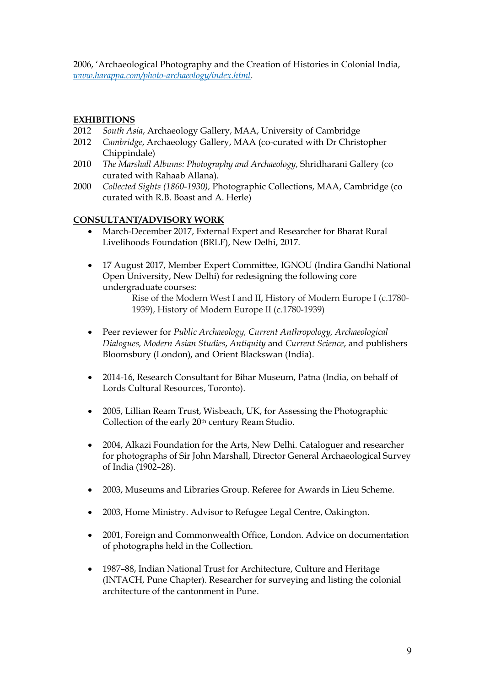2006, 'Archaeological Photography and the Creation of Histories in Colonial India, *[www.harappa.com/photo-archaeology/index.html](https://www.harappa.com/photo-archaeology/index.html)*.

# **EXHIBITIONS**

- 2012 *South Asia*, Archaeology Gallery, MAA, University of Cambridge
- 2012 *Cambridge*, Archaeology Gallery, MAA (co-curated with Dr Christopher Chippindale)
- 2010 *The Marshall Albums: Photography and Archaeology,* Shridharani Gallery (co curated with Rahaab Allana).
- 2000 *Collected Sights (1860-1930),* Photographic Collections, MAA, Cambridge (co curated with R.B. Boast and A. Herle)

### **CONSULTANT/ADVISORY WORK**

- March-December 2017, External Expert and Researcher for Bharat Rural Livelihoods Foundation (BRLF), New Delhi, 2017.
- 17 August 2017, Member Expert Committee, IGNOU (Indira Gandhi National Open University, New Delhi) for redesigning the following core undergraduate courses:

- Peer reviewer for *Public Archaeology, Current Anthropology, Archaeological Dialogues, Modern Asian Studies*, *Antiquity* and *Current Science*, and publishers Bloomsbury (London), and Orient Blackswan (India).
- 2014-16, Research Consultant for Bihar Museum, Patna (India, on behalf of Lords Cultural Resources, Toronto).
- 2005, Lillian Ream Trust, Wisbeach, UK, for Assessing the Photographic Collection of the early 20<sup>th</sup> century Ream Studio.
- 2004, Alkazi Foundation for the Arts, New Delhi. Cataloguer and researcher for photographs of Sir John Marshall, Director General Archaeological Survey of India (1902–28).
- 2003, Museums and Libraries Group. Referee for Awards in Lieu Scheme.
- 2003, Home Ministry. Advisor to Refugee Legal Centre, Oakington.
- 2001, Foreign and Commonwealth Office, London. Advice on documentation of photographs held in the Collection.
- 1987–88, Indian National Trust for Architecture, Culture and Heritage (INTACH, Pune Chapter). Researcher for surveying and listing the colonial architecture of the cantonment in Pune.

Rise of the Modern West I and II, History of Modern Europe I (c.1780- 1939), History of Modern Europe II (c.1780-1939)